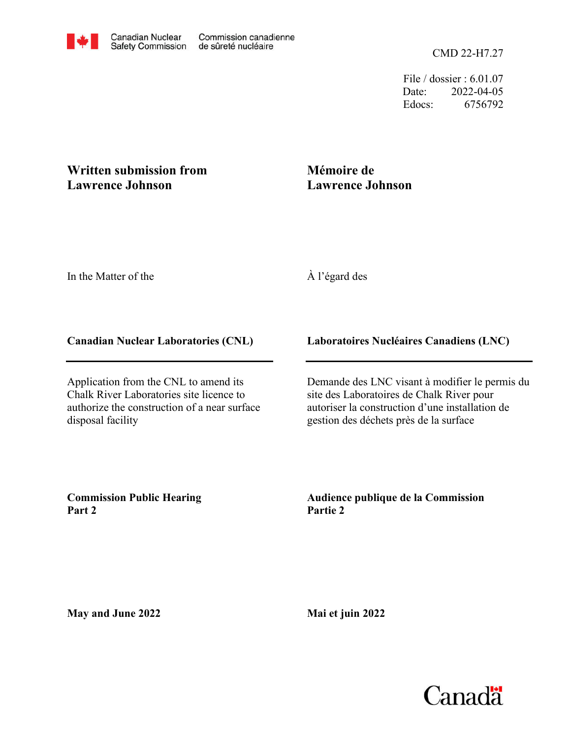File / dossier : 6.01.07 Date: 2022-04-05 Edocs: 6756792

## **Written submission from Lawrence Johnson**

# **Mémoire de Lawrence Johnson**

In the Matter of the

## À l'égard des

### **Canadian Nuclear Laboratories (CNL)**

Application from the CNL to amend its Chalk River Laboratories site licence to authorize the construction of a near surface disposal facility

## **Laboratoires Nucléaires Canadiens (LNC)**

Demande des LNC visant à modifier le permis du site des Laboratoires de Chalk River pour autoriser la construction d'une installation de gestion des déchets près de la surface

**Commission Public Hearing Part 2**

**Audience publique de la Commission Partie 2**

**May and June 2022**

**Mai et juin 2022**